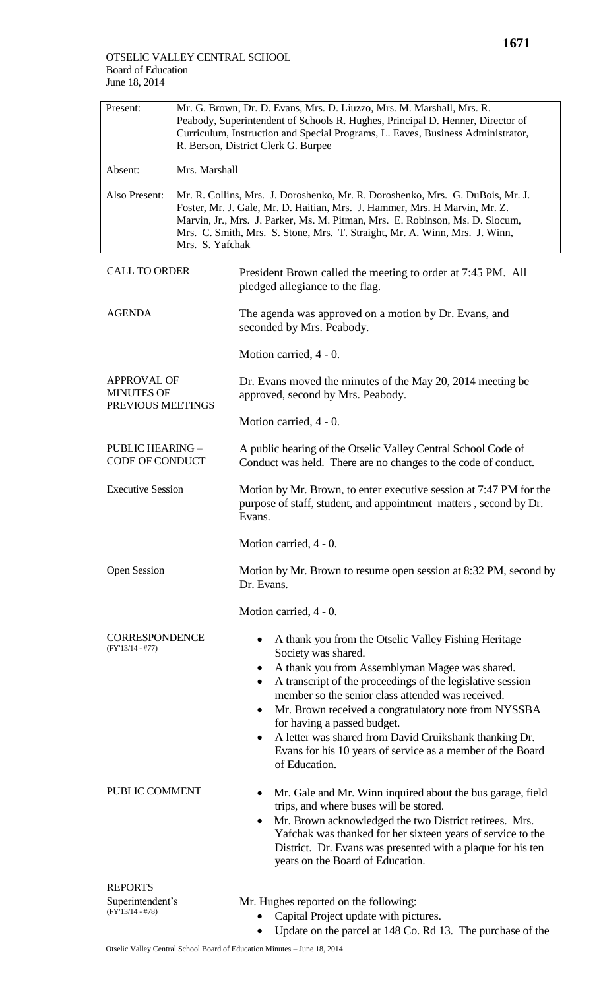| Present:                                              | Mr. G. Brown, Dr. D. Evans, Mrs. D. Liuzzo, Mrs. M. Marshall, Mrs. R.<br>Peabody, Superintendent of Schools R. Hughes, Principal D. Henner, Director of<br>Curriculum, Instruction and Special Programs, L. Eaves, Business Administrator,<br>R. Berson, District Clerk G. Burpee                                                            |                                                                                                                                                                                                                                                                                                                                                                                                                                                                                                         |
|-------------------------------------------------------|----------------------------------------------------------------------------------------------------------------------------------------------------------------------------------------------------------------------------------------------------------------------------------------------------------------------------------------------|---------------------------------------------------------------------------------------------------------------------------------------------------------------------------------------------------------------------------------------------------------------------------------------------------------------------------------------------------------------------------------------------------------------------------------------------------------------------------------------------------------|
| Absent:                                               | Mrs. Marshall                                                                                                                                                                                                                                                                                                                                |                                                                                                                                                                                                                                                                                                                                                                                                                                                                                                         |
| Also Present:                                         | Mr. R. Collins, Mrs. J. Doroshenko, Mr. R. Doroshenko, Mrs. G. DuBois, Mr. J.<br>Foster, Mr. J. Gale, Mr. D. Haitian, Mrs. J. Hammer, Mrs. H Marvin, Mr. Z.<br>Marvin, Jr., Mrs. J. Parker, Ms. M. Pitman, Mrs. E. Robinson, Ms. D. Slocum,<br>Mrs. C. Smith, Mrs. S. Stone, Mrs. T. Straight, Mr. A. Winn, Mrs. J. Winn,<br>Mrs. S. Yafchak |                                                                                                                                                                                                                                                                                                                                                                                                                                                                                                         |
| <b>CALL TO ORDER</b>                                  |                                                                                                                                                                                                                                                                                                                                              | President Brown called the meeting to order at 7:45 PM. All<br>pledged allegiance to the flag.                                                                                                                                                                                                                                                                                                                                                                                                          |
| <b>AGENDA</b>                                         |                                                                                                                                                                                                                                                                                                                                              | The agenda was approved on a motion by Dr. Evans, and<br>seconded by Mrs. Peabody.                                                                                                                                                                                                                                                                                                                                                                                                                      |
|                                                       |                                                                                                                                                                                                                                                                                                                                              | Motion carried, 4 - 0.                                                                                                                                                                                                                                                                                                                                                                                                                                                                                  |
| APPROVAL OF<br><b>MINUTES OF</b><br>PREVIOUS MEETINGS |                                                                                                                                                                                                                                                                                                                                              | Dr. Evans moved the minutes of the May 20, 2014 meeting be<br>approved, second by Mrs. Peabody.                                                                                                                                                                                                                                                                                                                                                                                                         |
|                                                       |                                                                                                                                                                                                                                                                                                                                              | Motion carried, 4 - 0.                                                                                                                                                                                                                                                                                                                                                                                                                                                                                  |
| <b>PUBLIC HEARING -</b><br><b>CODE OF CONDUCT</b>     |                                                                                                                                                                                                                                                                                                                                              | A public hearing of the Otselic Valley Central School Code of<br>Conduct was held. There are no changes to the code of conduct.                                                                                                                                                                                                                                                                                                                                                                         |
| <b>Executive Session</b>                              |                                                                                                                                                                                                                                                                                                                                              | Motion by Mr. Brown, to enter executive session at 7:47 PM for the<br>purpose of staff, student, and appointment matters, second by Dr.<br>Evans.                                                                                                                                                                                                                                                                                                                                                       |
|                                                       |                                                                                                                                                                                                                                                                                                                                              | Motion carried, 4 - 0.                                                                                                                                                                                                                                                                                                                                                                                                                                                                                  |
| <b>Open Session</b>                                   |                                                                                                                                                                                                                                                                                                                                              | Motion by Mr. Brown to resume open session at 8:32 PM, second by<br>Dr. Evans.                                                                                                                                                                                                                                                                                                                                                                                                                          |
|                                                       |                                                                                                                                                                                                                                                                                                                                              | Motion carried, 4 - 0.                                                                                                                                                                                                                                                                                                                                                                                                                                                                                  |
| <b>CORRESPONDENCE</b><br>$(FY'13/14 - #77)$           |                                                                                                                                                                                                                                                                                                                                              | A thank you from the Otselic Valley Fishing Heritage<br>Society was shared.<br>A thank you from Assemblyman Magee was shared.<br>A transcript of the proceedings of the legislative session<br>$\bullet$<br>member so the senior class attended was received.<br>Mr. Brown received a congratulatory note from NYSSBA<br>٠<br>for having a passed budget.<br>A letter was shared from David Cruikshank thanking Dr.<br>٠<br>Evans for his 10 years of service as a member of the Board<br>of Education. |
| PUBLIC COMMENT                                        |                                                                                                                                                                                                                                                                                                                                              | Mr. Gale and Mr. Winn inquired about the bus garage, field<br>trips, and where buses will be stored.<br>Mr. Brown acknowledged the two District retirees. Mrs.<br>$\bullet$<br>Yafchak was thanked for her sixteen years of service to the<br>District. Dr. Evans was presented with a plaque for his ten<br>years on the Board of Education.                                                                                                                                                           |
| <b>REPORTS</b>                                        |                                                                                                                                                                                                                                                                                                                                              |                                                                                                                                                                                                                                                                                                                                                                                                                                                                                                         |
| Superintendent's<br>$(FY'13/14 - #78)$                |                                                                                                                                                                                                                                                                                                                                              | Mr. Hughes reported on the following:<br>Capital Project update with pictures.<br>Update on the parcel at 148 Co. Rd 13. The purchase of the                                                                                                                                                                                                                                                                                                                                                            |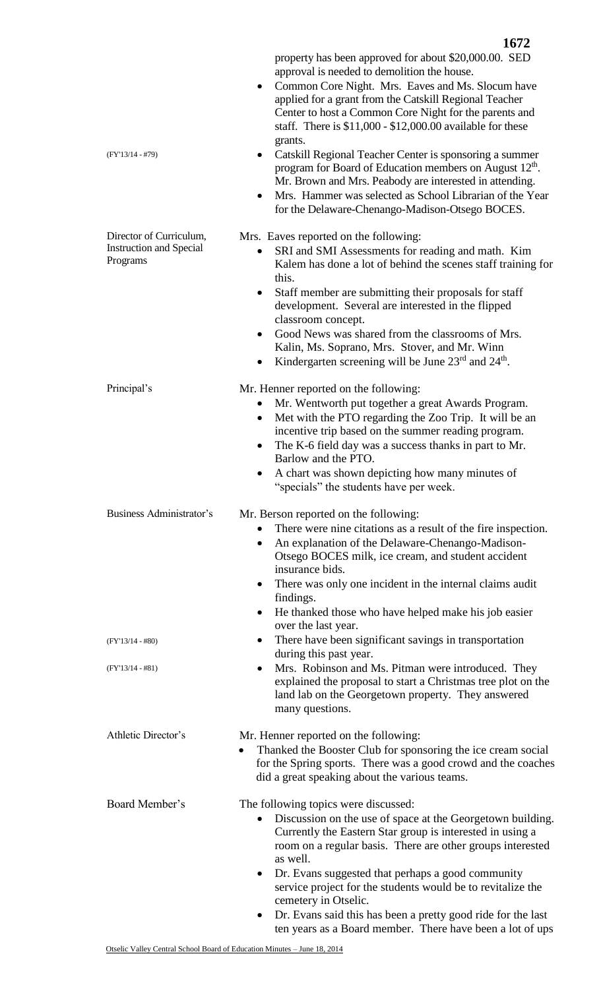|                                                                       | 1672                                                                                                                                                                                                                                                                                                                   |
|-----------------------------------------------------------------------|------------------------------------------------------------------------------------------------------------------------------------------------------------------------------------------------------------------------------------------------------------------------------------------------------------------------|
|                                                                       | property has been approved for about \$20,000.00. SED<br>approval is needed to demolition the house.                                                                                                                                                                                                                   |
|                                                                       | Common Core Night. Mrs. Eaves and Ms. Slocum have<br>$\bullet$<br>applied for a grant from the Catskill Regional Teacher<br>Center to host a Common Core Night for the parents and<br>staff. There is $$11,000 - $12,000.00$ available for these                                                                       |
| $(FY'13/14 - #79)$                                                    | grants.<br>Catskill Regional Teacher Center is sponsoring a summer<br>program for Board of Education members on August 12 <sup>th</sup> .<br>Mr. Brown and Mrs. Peabody are interested in attending.                                                                                                                   |
|                                                                       | Mrs. Hammer was selected as School Librarian of the Year<br>٠<br>for the Delaware-Chenango-Madison-Otsego BOCES.                                                                                                                                                                                                       |
| Director of Curriculum,<br><b>Instruction and Special</b><br>Programs | Mrs. Eaves reported on the following:<br>SRI and SMI Assessments for reading and math. Kim<br>$\bullet$                                                                                                                                                                                                                |
|                                                                       | Kalem has done a lot of behind the scenes staff training for<br>this.<br>Staff member are submitting their proposals for staff<br>$\bullet$                                                                                                                                                                            |
|                                                                       | development. Several are interested in the flipped<br>classroom concept.<br>Good News was shared from the classrooms of Mrs.<br>$\bullet$                                                                                                                                                                              |
|                                                                       | Kalin, Ms. Soprano, Mrs. Stover, and Mr. Winn<br>Kindergarten screening will be June 23rd and 24 <sup>th</sup> .                                                                                                                                                                                                       |
| Principal's                                                           | Mr. Henner reported on the following:<br>Mr. Wentworth put together a great Awards Program.<br>Met with the PTO regarding the Zoo Trip. It will be an<br>$\bullet$<br>incentive trip based on the summer reading program.<br>The K-6 field day was a success thanks in part to Mr.<br>$\bullet$<br>Barlow and the PTO. |
|                                                                       | A chart was shown depicting how many minutes of<br>"specials" the students have per week.                                                                                                                                                                                                                              |
| Business Administrator's                                              | Mr. Berson reported on the following:<br>There were nine citations as a result of the fire inspection.<br>$\bullet$<br>An explanation of the Delaware-Chenango-Madison-<br>٠<br>Otsego BOCES milk, ice cream, and student accident<br>insurance bids.                                                                  |
|                                                                       | There was only one incident in the internal claims audit<br>$\bullet$<br>findings.<br>He thanked those who have helped make his job easier<br>$\bullet$                                                                                                                                                                |
| $(FY'13/14 - #80)$                                                    | over the last year.<br>There have been significant savings in transportation<br>$\bullet$                                                                                                                                                                                                                              |
| $(FY'13/14 - #81)$                                                    | during this past year.<br>Mrs. Robinson and Ms. Pitman were introduced. They<br>$\bullet$<br>explained the proposal to start a Christmas tree plot on the<br>land lab on the Georgetown property. They answered<br>many questions.                                                                                     |
| Athletic Director's                                                   | Mr. Henner reported on the following:<br>Thanked the Booster Club for sponsoring the ice cream social<br>for the Spring sports. There was a good crowd and the coaches<br>did a great speaking about the various teams.                                                                                                |
| Board Member's                                                        | The following topics were discussed:<br>Discussion on the use of space at the Georgetown building.<br>$\bullet$<br>Currently the Eastern Star group is interested in using a<br>room on a regular basis. There are other groups interested<br>as well.                                                                 |
|                                                                       | Dr. Evans suggested that perhaps a good community<br>$\bullet$<br>service project for the students would be to revitalize the<br>cemetery in Otselic.                                                                                                                                                                  |
|                                                                       | Dr. Evans said this has been a pretty good ride for the last<br>ten years as a Board member. There have been a lot of ups                                                                                                                                                                                              |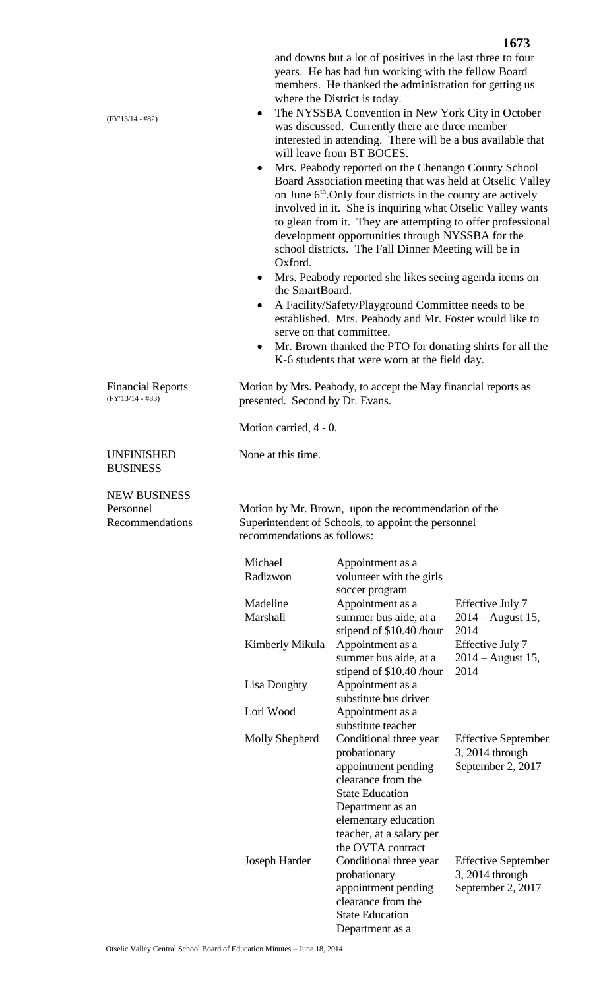and downs but a lot of positives in the last three to four years. He has had fun working with the fellow Board members. He thanked the administration for getting us where the District is today.

- The NYSSBA Convention in New York City in October was discussed. Currently there are three member interested in attending. There will be a bus available that will leave from BT BOCES.
- Mrs. Peabody reported on the Chenango County School Board Association meeting that was held at Otselic Valley on June  $6<sup>th</sup>$ . Only four districts in the county are actively involved in it. She is inquiring what Otselic Valley wants to glean from it. They are attempting to offer professional development opportunities through NYSSBA for the school districts. The Fall Dinner Meeting will be in Oxford.
- Mrs. Peabody reported she likes seeing agenda items on the SmartBoard.
- A Facility/Safety/Playground Committee needs to be established. Mrs. Peabody and Mr. Foster would like to serve on that committee.
- Mr. Brown thanked the PTO for donating shirts for all the K-6 students that were worn at the field day.

Motion by Mrs. Peabody, to accept the May financial reports as presented. Second by Dr. Evans.

Motion carried, 4 - 0.

None at this time.

NEW BUSINESS Personnel

Recommendations

UNFINISHED BUSINESS

Financial Reports (FY'13/14 - #83)

> Motion by Mr. Brown, upon the recommendation of the Superintendent of Schools, to appoint the personnel recommendations as follows:

| Michael<br>Radizwon  | Appointment as a<br>volunteer with the girls<br>soccer program                                                                                                                                             |                                                                    |
|----------------------|------------------------------------------------------------------------------------------------------------------------------------------------------------------------------------------------------------|--------------------------------------------------------------------|
| Madeline<br>Marshall | Appointment as a<br>summer bus aide, at a<br>stipend of \$10.40 /hour                                                                                                                                      | Effective July 7<br>$2014 -$ August 15,<br>2014                    |
| Kimberly Mikula      | Appointment as a<br>summer bus aide, at a<br>stipend of \$10.40 /hour                                                                                                                                      | Effective July 7<br>$2014 -$ August 15,<br>2014                    |
| Lisa Doughty         | Appointment as a<br>substitute bus driver                                                                                                                                                                  |                                                                    |
| Lori Wood            | Appointment as a<br>substitute teacher                                                                                                                                                                     |                                                                    |
| Molly Shepherd       | Conditional three year<br>probationary<br>appointment pending<br>clearance from the<br><b>State Education</b><br>Department as an<br>elementary education<br>teacher, at a salary per<br>the OVTA contract | <b>Effective September</b><br>3, 2014 through<br>September 2, 2017 |
| Joseph Harder        | Conditional three year<br>probationary<br>appointment pending<br>clearance from the<br><b>State Education</b><br>Department as a                                                                           | <b>Effective September</b><br>3, 2014 through<br>September 2, 2017 |

(FY'13/14 - #82)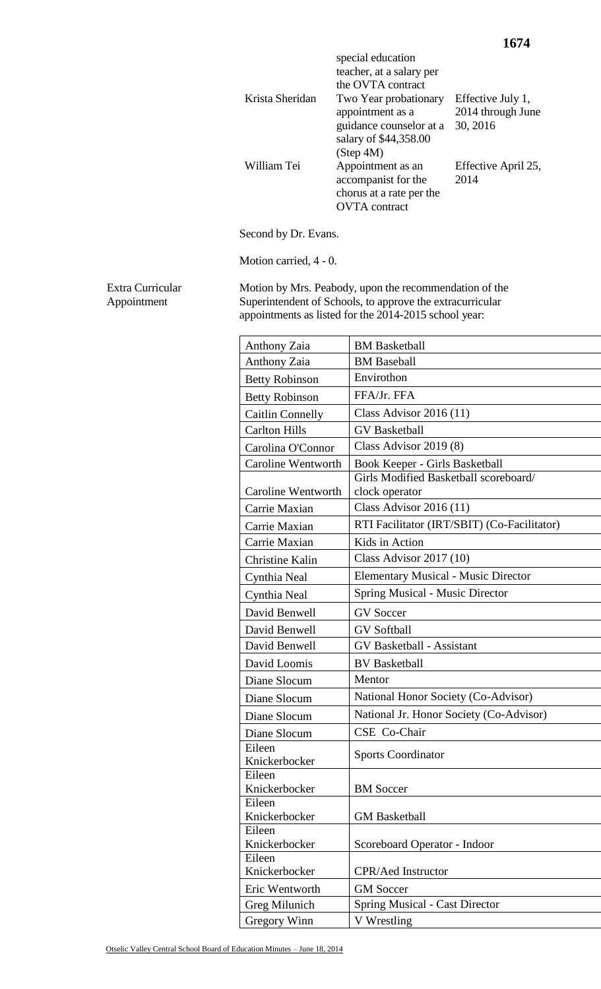|                 | special education<br>teacher, at a salary per<br>the OVTA contract |                     |
|-----------------|--------------------------------------------------------------------|---------------------|
| Krista Sheridan | Two Year probationary                                              | Effective July 1,   |
|                 | appointment as a                                                   | 2014 through June   |
|                 | guidance counselor at a                                            | 30, 2016            |
|                 | salary of \$44,358.00                                              |                     |
|                 | (Step 4M)                                                          |                     |
| William Tei     | Appointment as an                                                  | Effective April 25, |
|                 | accompanist for the                                                | 2014                |
|                 | chorus at a rate per the                                           |                     |
|                 | <b>OVTA</b> contract                                               |                     |

Second by Dr. Evans.

Motion carried, 4 - 0.

Extra Curricular Appointment

Motion by Mrs. Peabody, upon the recommendation of the Superintendent of Schools, to approve the extracurricular appointments as listed for the 2014-2015 school year:

| <b>Anthony Zaia</b>     | <b>BM</b> Basketball                        |
|-------------------------|---------------------------------------------|
| <b>Anthony Zaia</b>     | <b>BM</b> Baseball                          |
| <b>Betty Robinson</b>   | Envirothon                                  |
| <b>Betty Robinson</b>   | FFA/Jr. FFA                                 |
| <b>Caitlin Connelly</b> | Class Advisor $2016(11)$                    |
| <b>Carlton Hills</b>    | <b>GV</b> Basketball                        |
| Carolina O'Connor       | Class Advisor $2019(8)$                     |
| Caroline Wentworth      | Book Keeper - Girls Basketball              |
|                         | Girls Modified Basketball scoreboard/       |
| Caroline Wentworth      | clock operator                              |
| Carrie Maxian           | Class Advisor $2016(11)$                    |
| Carrie Maxian           | RTI Facilitator (IRT/SBIT) (Co-Facilitator) |
| Carrie Maxian           | Kids in Action                              |
| Christine Kalin         | Class Advisor $2017(10)$                    |
| Cynthia Neal            | <b>Elementary Musical - Music Director</b>  |
| Cynthia Neal            | <b>Spring Musical - Music Director</b>      |
| David Benwell           | <b>GV</b> Soccer                            |
| David Benwell           | <b>GV</b> Softball                          |
| David Benwell           | <b>GV Basketball - Assistant</b>            |
| David Loomis            | <b>BV</b> Basketball                        |
| Diane Slocum            | Mentor                                      |
| Diane Slocum            | National Honor Society (Co-Advisor)         |
| Diane Slocum            | National Jr. Honor Society (Co-Advisor)     |
| Diane Slocum            | CSE Co-Chair                                |
| Eileen                  | <b>Sports Coordinator</b>                   |
| Knickerbocker           |                                             |
| Eileen<br>Knickerbocker | <b>BM</b> Soccer                            |
| Eileen                  |                                             |
| Knickerbocker           | <b>GM</b> Basketball                        |
| Eileen                  |                                             |
| Knickerbocker           | Scoreboard Operator - Indoor                |
| Eileen                  |                                             |
| Knickerbocker           | <b>CPR/Aed Instructor</b>                   |
| Eric Wentworth          | <b>GM</b> Soccer                            |
| Greg Milunich           | <b>Spring Musical - Cast Director</b>       |
| <b>Gregory Winn</b>     | V Wrestling                                 |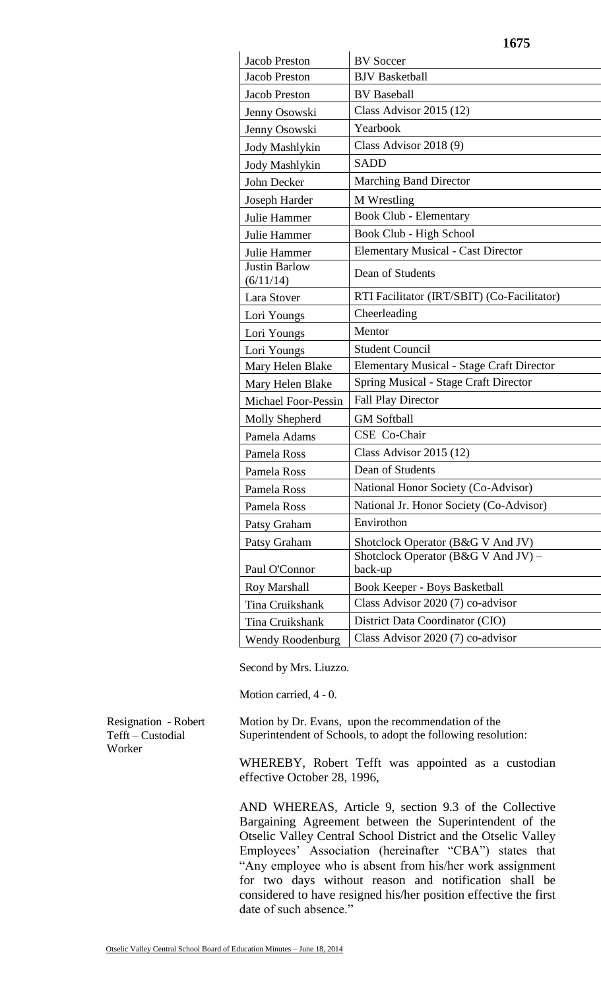| <b>Jacob Preston</b>              | <b>BV</b> Soccer                                 |
|-----------------------------------|--------------------------------------------------|
| <b>Jacob Preston</b>              | <b>BJV</b> Basketball                            |
| Jacob Preston                     | <b>BV</b> Baseball                               |
| Jenny Osowski                     | Class Advisor $2015(12)$                         |
| Jenny Osowski                     | Yearbook                                         |
| Jody Mashlykin                    | Class Advisor 2018 (9)                           |
| Jody Mashlykin                    | <b>SADD</b>                                      |
| John Decker                       | <b>Marching Band Director</b>                    |
| Joseph Harder                     | M Wrestling                                      |
| Julie Hammer                      | Book Club - Elementary                           |
| Julie Hammer                      | Book Club - High School                          |
| Julie Hammer                      | <b>Elementary Musical - Cast Director</b>        |
| <b>Justin Barlow</b><br>(6/11/14) | Dean of Students                                 |
| Lara Stover                       | RTI Facilitator (IRT/SBIT) (Co-Facilitator)      |
| Lori Youngs                       | Cheerleading                                     |
| Lori Youngs                       | Mentor                                           |
| Lori Youngs                       | <b>Student Council</b>                           |
| Mary Helen Blake                  | <b>Elementary Musical - Stage Craft Director</b> |
| Mary Helen Blake                  | <b>Spring Musical - Stage Craft Director</b>     |
| Michael Foor-Pessin               | <b>Fall Play Director</b>                        |
| Molly Shepherd                    | <b>GM</b> Softball                               |
| Pamela Adams                      | CSE Co-Chair                                     |
| Pamela Ross                       | Class Advisor $2015(12)$                         |
| Pamela Ross                       | Dean of Students                                 |
| Pamela Ross                       | National Honor Society (Co-Advisor)              |
| Pamela Ross                       | National Jr. Honor Society (Co-Advisor)          |
| Patsy Graham                      | Envirothon                                       |
| Patsy Graham                      | Shotclock Operator (B&G V And JV)                |
| Paul O'Connor                     | Shotclock Operator (B&G V And JV) –<br>back-up   |
| <b>Roy Marshall</b>               | Book Keeper - Boys Basketball                    |
| Tina Cruikshank                   | Class Advisor 2020 (7) co-advisor                |
| Tina Cruikshank                   | District Data Coordinator (CIO)                  |
| <b>Wendy Roodenburg</b>           | Class Advisor 2020 (7) co-advisor                |

**1675**

Second by Mrs. Liuzzo.

Motion carried, 4 - 0.

Resignation - Robert Tefft – Custodial Worker

Motion by Dr. Evans, upon the recommendation of the Superintendent of Schools, to adopt the following resolution:

WHEREBY, Robert Tefft was appointed as a custodian effective October 28, 1996,

AND WHEREAS, Article 9, section 9.3 of the Collective Bargaining Agreement between the Superintendent of the Otselic Valley Central School District and the Otselic Valley Employees' Association (hereinafter "CBA") states that "Any employee who is absent from his/her work assignment for two days without reason and notification shall be considered to have resigned his/her position effective the first date of such absence."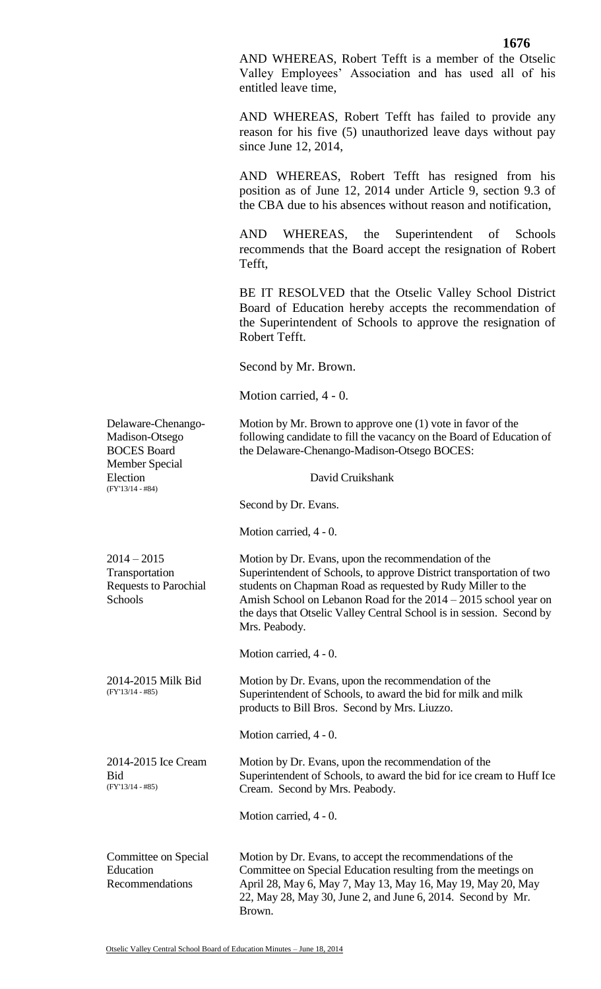AND WHEREAS, Robert Tefft is a member of the Otselic Valley Employees' Association and has used all of his entitled leave time,

AND WHEREAS, Robert Tefft has failed to provide any reason for his five (5) unauthorized leave days without pay since June 12, 2014,

AND WHEREAS, Robert Tefft has resigned from his position as of June 12, 2014 under Article 9, section 9.3 of the CBA due to his absences without reason and notification,

AND WHEREAS, the Superintendent of Schools recommends that the Board accept the resignation of Robert Tefft,

BE IT RESOLVED that the Otselic Valley School District Board of Education hereby accepts the recommendation of the Superintendent of Schools to approve the resignation of Robert Tefft.

Second by Mr. Brown.

Motion carried, 4 - 0.

| Delaware-Chenango-<br>Madison-Otsego<br><b>BOCES</b> Board<br><b>Member Special</b> | Motion by Mr. Brown to approve one $(1)$ vote in favor of the<br>following candidate to fill the vacancy on the Board of Education of<br>the Delaware-Chenango-Madison-Otsego BOCES:                                                                                                                                                                   |
|-------------------------------------------------------------------------------------|--------------------------------------------------------------------------------------------------------------------------------------------------------------------------------------------------------------------------------------------------------------------------------------------------------------------------------------------------------|
| Election<br>$(FY'13/14 - #84)$                                                      | David Cruikshank                                                                                                                                                                                                                                                                                                                                       |
|                                                                                     | Second by Dr. Evans.                                                                                                                                                                                                                                                                                                                                   |
|                                                                                     | Motion carried, 4 - 0.                                                                                                                                                                                                                                                                                                                                 |
| $2014 - 2015$<br>Transportation<br><b>Requests to Parochial</b><br>Schools          | Motion by Dr. Evans, upon the recommendation of the<br>Superintendent of Schools, to approve District transportation of two<br>students on Chapman Road as requested by Rudy Miller to the<br>Amish School on Lebanon Road for the 2014 – 2015 school year on<br>the days that Otselic Valley Central School is in session. Second by<br>Mrs. Peabody. |
|                                                                                     | Motion carried, 4 - 0.                                                                                                                                                                                                                                                                                                                                 |
| 2014-2015 Milk Bid<br>$(FY'13/14 - #85)$                                            | Motion by Dr. Evans, upon the recommendation of the<br>Superintendent of Schools, to award the bid for milk and milk<br>products to Bill Bros. Second by Mrs. Liuzzo.                                                                                                                                                                                  |
|                                                                                     | Motion carried, 4 - 0.                                                                                                                                                                                                                                                                                                                                 |
| 2014-2015 Ice Cream<br><b>Bid</b><br>$(FY'13/14 - #85)$                             | Motion by Dr. Evans, upon the recommendation of the<br>Superintendent of Schools, to award the bid for ice cream to Huff Ice<br>Cream. Second by Mrs. Peabody.                                                                                                                                                                                         |
|                                                                                     | Motion carried, 4 - 0.                                                                                                                                                                                                                                                                                                                                 |
| Committee on Special<br>Education<br>Recommendations                                | Motion by Dr. Evans, to accept the recommendations of the<br>Committee on Special Education resulting from the meetings on<br>April 28, May 6, May 7, May 13, May 16, May 19, May 20, May<br>22, May 28, May 30, June 2, and June 6, 2014. Second by Mr.<br>Brown.                                                                                     |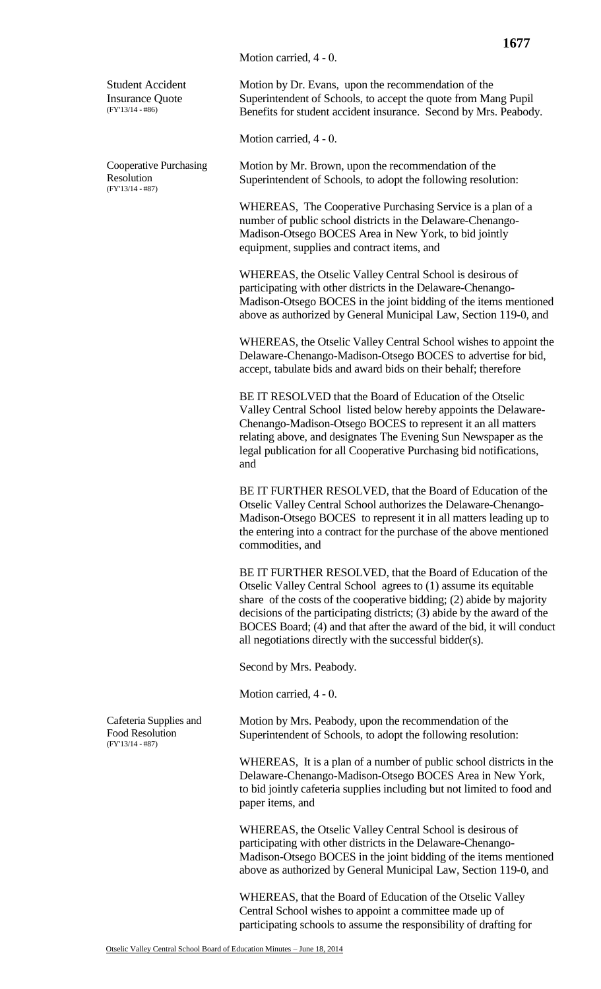Motion carried, 4 - 0.

Student Accident Insurance Quote (FY'13/14 - #86)

Cooperative Purchasing Resolution (FY'13/14 - #87)

Motion by Dr. Evans, upon the recommendation of the Superintendent of Schools, to accept the quote from Mang Pupil Benefits for student accident insurance. Second by Mrs. Peabody.

Motion carried, 4 - 0.

Motion by Mr. Brown, upon the recommendation of the Superintendent of Schools, to adopt the following resolution:

WHEREAS, The Cooperative Purchasing Service is a plan of a number of public school districts in the Delaware-Chenango-Madison-Otsego BOCES Area in New York, to bid jointly equipment, supplies and contract items, and

WHEREAS, the Otselic Valley Central School is desirous of participating with other districts in the Delaware-Chenango-Madison-Otsego BOCES in the joint bidding of the items mentioned above as authorized by General Municipal Law, Section 119-0, and

WHEREAS, the Otselic Valley Central School wishes to appoint the Delaware-Chenango-Madison-Otsego BOCES to advertise for bid, accept, tabulate bids and award bids on their behalf; therefore

BE IT RESOLVED that the Board of Education of the Otselic Valley Central School listed below hereby appoints the Delaware-Chenango-Madison-Otsego BOCES to represent it an all matters relating above, and designates The Evening Sun Newspaper as the legal publication for all Cooperative Purchasing bid notifications, and

BE IT FURTHER RESOLVED, that the Board of Education of the Otselic Valley Central School authorizes the Delaware-Chenango-Madison-Otsego BOCES to represent it in all matters leading up to the entering into a contract for the purchase of the above mentioned commodities, and

BE IT FURTHER RESOLVED, that the Board of Education of the Otselic Valley Central School agrees to (1) assume its equitable share of the costs of the cooperative bidding; (2) abide by majority decisions of the participating districts; (3) abide by the award of the BOCES Board; (4) and that after the award of the bid, it will conduct all negotiations directly with the successful bidder(s).

Second by Mrs. Peabody.

Motion carried, 4 - 0.

Motion by Mrs. Peabody, upon the recommendation of the Superintendent of Schools, to adopt the following resolution:

WHEREAS, It is a plan of a number of public school districts in the Delaware-Chenango-Madison-Otsego BOCES Area in New York, to bid jointly cafeteria supplies including but not limited to food and paper items, and

WHEREAS, the Otselic Valley Central School is desirous of participating with other districts in the Delaware-Chenango-Madison-Otsego BOCES in the joint bidding of the items mentioned above as authorized by General Municipal Law, Section 119-0, and

WHEREAS, that the Board of Education of the Otselic Valley Central School wishes to appoint a committee made up of participating schools to assume the responsibility of drafting for

Cafeteria Supplies and Food Resolution (FY'13/14 - #87)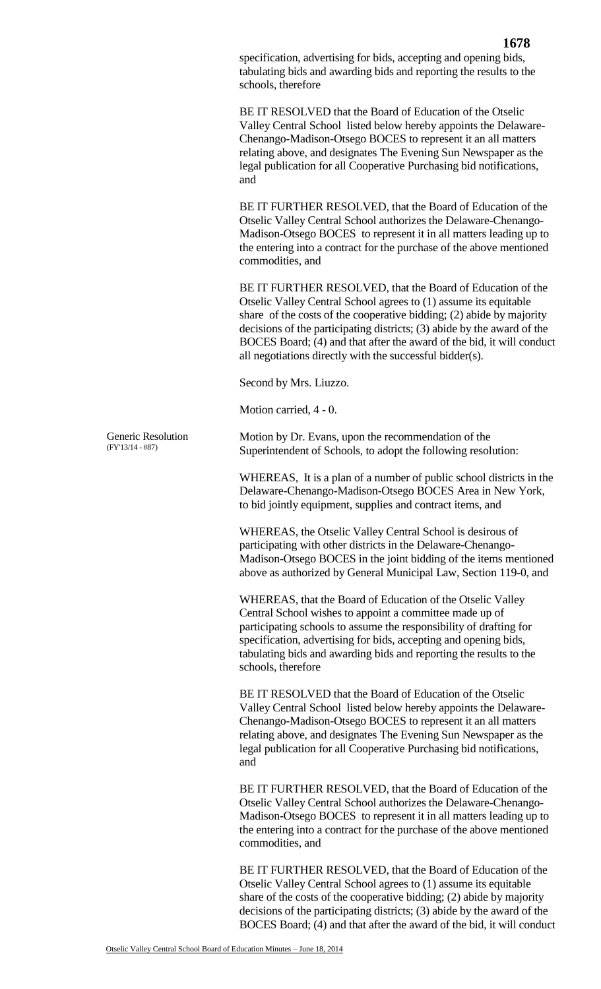BE IT RESOLVED that the Board of Education of the Otselic Valley Central School listed below hereby appoints the Delaware-Chenango-Madison-Otsego BOCES to represent it an all matters relating above, and designates The Evening Sun Newspaper as the legal publication for all Cooperative Purchasing bid notifications, and

BE IT FURTHER RESOLVED, that the Board of Education of the Otselic Valley Central School authorizes the Delaware-Chenango-Madison-Otsego BOCES to represent it in all matters leading up to the entering into a contract for the purchase of the above mentioned commodities, and

BE IT FURTHER RESOLVED, that the Board of Education of the Otselic Valley Central School agrees to (1) assume its equitable share of the costs of the cooperative bidding; (2) abide by majority decisions of the participating districts; (3) abide by the award of the BOCES Board; (4) and that after the award of the bid, it will conduct all negotiations directly with the successful bidder(s).

Second by Mrs. Liuzzo.

Motion carried, 4 - 0.

Motion by Dr. Evans, upon the recommendation of the Superintendent of Schools, to adopt the following resolution:

WHEREAS, It is a plan of a number of public school districts in the Delaware-Chenango-Madison-Otsego BOCES Area in New York, to bid jointly equipment, supplies and contract items, and

WHEREAS, the Otselic Valley Central School is desirous of participating with other districts in the Delaware-Chenango-Madison-Otsego BOCES in the joint bidding of the items mentioned above as authorized by General Municipal Law, Section 119-0, and

WHEREAS, that the Board of Education of the Otselic Valley Central School wishes to appoint a committee made up of participating schools to assume the responsibility of drafting for specification, advertising for bids, accepting and opening bids, tabulating bids and awarding bids and reporting the results to the schools, therefore

BE IT RESOLVED that the Board of Education of the Otselic Valley Central School listed below hereby appoints the Delaware-Chenango-Madison-Otsego BOCES to represent it an all matters relating above, and designates The Evening Sun Newspaper as the legal publication for all Cooperative Purchasing bid notifications, and

BE IT FURTHER RESOLVED, that the Board of Education of the Otselic Valley Central School authorizes the Delaware-Chenango-Madison-Otsego BOCES to represent it in all matters leading up to the entering into a contract for the purchase of the above mentioned commodities, and

BE IT FURTHER RESOLVED, that the Board of Education of the Otselic Valley Central School agrees to (1) assume its equitable share of the costs of the cooperative bidding; (2) abide by majority decisions of the participating districts; (3) abide by the award of the BOCES Board; (4) and that after the award of the bid, it will conduct

Generic Resolution (FY'13/14 - #87)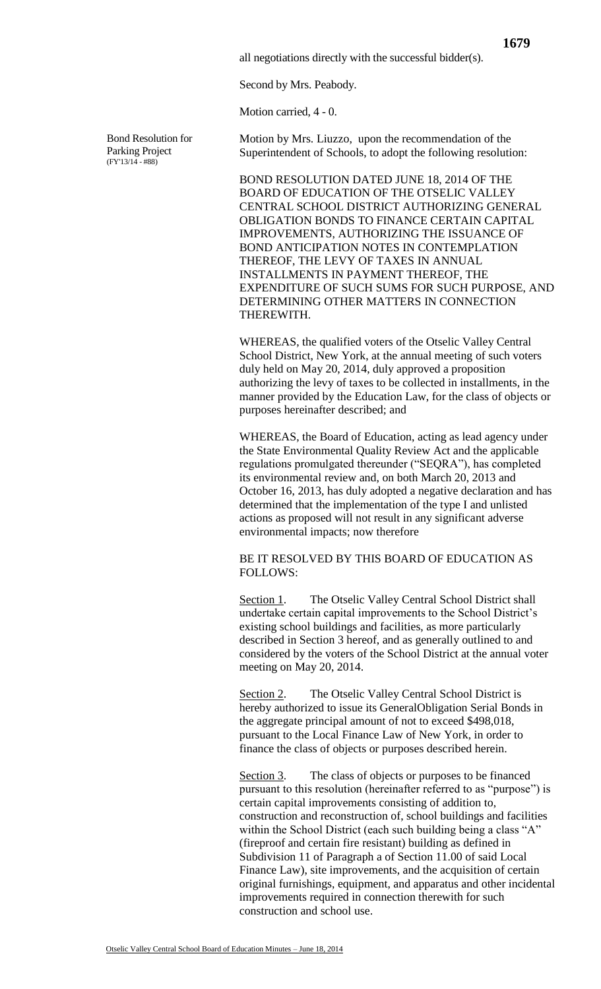all negotiations directly with the successful bidder(s).

Second by Mrs. Peabody.

Motion carried, 4 - 0.

Bond Resolution for Parking Project  $(FY'13/14 - #88)$ 

Motion by Mrs. Liuzzo, upon the recommendation of the Superintendent of Schools, to adopt the following resolution:

BOND RESOLUTION DATED JUNE 18, 2014 OF THE BOARD OF EDUCATION OF THE OTSELIC VALLEY CENTRAL SCHOOL DISTRICT AUTHORIZING GENERAL OBLIGATION BONDS TO FINANCE CERTAIN CAPITAL IMPROVEMENTS, AUTHORIZING THE ISSUANCE OF BOND ANTICIPATION NOTES IN CONTEMPLATION THEREOF, THE LEVY OF TAXES IN ANNUAL INSTALLMENTS IN PAYMENT THEREOF, THE EXPENDITURE OF SUCH SUMS FOR SUCH PURPOSE, AND DETERMINING OTHER MATTERS IN CONNECTION THEREWITH.

WHEREAS, the qualified voters of the Otselic Valley Central School District, New York, at the annual meeting of such voters duly held on May 20, 2014, duly approved a proposition authorizing the levy of taxes to be collected in installments, in the manner provided by the Education Law, for the class of objects or purposes hereinafter described; and

WHEREAS, the Board of Education, acting as lead agency under the State Environmental Quality Review Act and the applicable regulations promulgated thereunder ("SEQRA"), has completed its environmental review and, on both March 20, 2013 and October 16, 2013, has duly adopted a negative declaration and has determined that the implementation of the type I and unlisted actions as proposed will not result in any significant adverse environmental impacts; now therefore

BE IT RESOLVED BY THIS BOARD OF EDUCATION AS FOLLOWS:

Section 1. The Otselic Valley Central School District shall undertake certain capital improvements to the School District's existing school buildings and facilities, as more particularly described in Section 3 hereof, and as generally outlined to and considered by the voters of the School District at the annual voter meeting on May 20, 2014.

Section 2. The Otselic Valley Central School District is hereby authorized to issue its GeneralObligation Serial Bonds in the aggregate principal amount of not to exceed \$498,018, pursuant to the Local Finance Law of New York, in order to finance the class of objects or purposes described herein.

Section 3. The class of objects or purposes to be financed pursuant to this resolution (hereinafter referred to as "purpose") is certain capital improvements consisting of addition to, construction and reconstruction of, school buildings and facilities within the School District (each such building being a class "A" (fireproof and certain fire resistant) building as defined in Subdivision 11 of Paragraph a of Section 11.00 of said Local Finance Law), site improvements, and the acquisition of certain original furnishings, equipment, and apparatus and other incidental improvements required in connection therewith for such construction and school use.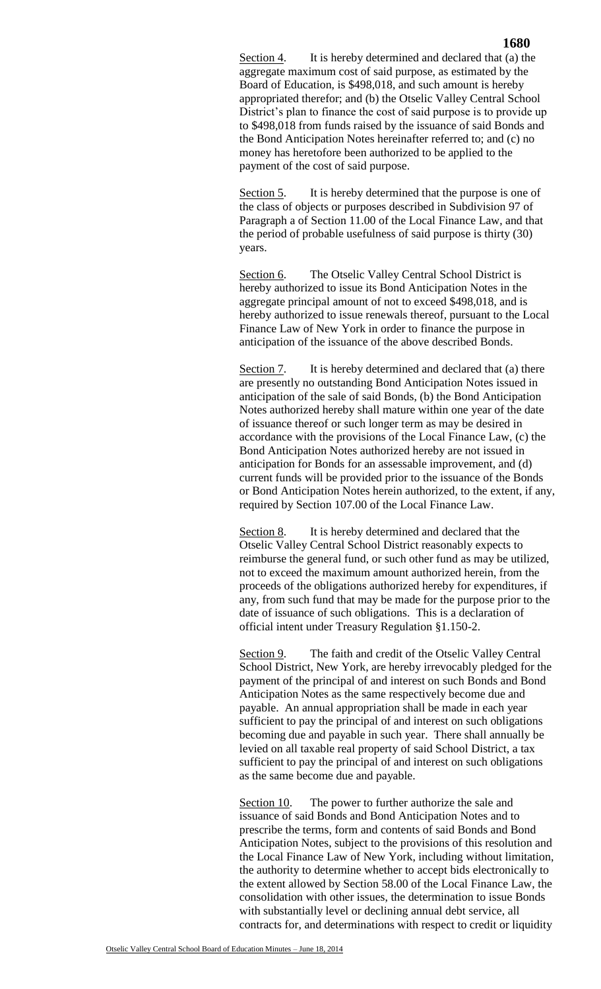Section 4. It is hereby determined and declared that (a) the aggregate maximum cost of said purpose, as estimated by the Board of Education, is \$498,018, and such amount is hereby appropriated therefor; and (b) the Otselic Valley Central School District's plan to finance the cost of said purpose is to provide up to \$498,018 from funds raised by the issuance of said Bonds and the Bond Anticipation Notes hereinafter referred to; and (c) no money has heretofore been authorized to be applied to the payment of the cost of said purpose.

Section 5. It is hereby determined that the purpose is one of the class of objects or purposes described in Subdivision 97 of Paragraph a of Section 11.00 of the Local Finance Law, and that the period of probable usefulness of said purpose is thirty (30) years.

Section 6. The Otselic Valley Central School District is hereby authorized to issue its Bond Anticipation Notes in the aggregate principal amount of not to exceed \$498,018, and is hereby authorized to issue renewals thereof, pursuant to the Local Finance Law of New York in order to finance the purpose in anticipation of the issuance of the above described Bonds.

Section 7. It is hereby determined and declared that (a) there are presently no outstanding Bond Anticipation Notes issued in anticipation of the sale of said Bonds, (b) the Bond Anticipation Notes authorized hereby shall mature within one year of the date of issuance thereof or such longer term as may be desired in accordance with the provisions of the Local Finance Law, (c) the Bond Anticipation Notes authorized hereby are not issued in anticipation for Bonds for an assessable improvement, and (d) current funds will be provided prior to the issuance of the Bonds or Bond Anticipation Notes herein authorized, to the extent, if any, required by Section 107.00 of the Local Finance Law.

Section 8. It is hereby determined and declared that the Otselic Valley Central School District reasonably expects to reimburse the general fund, or such other fund as may be utilized, not to exceed the maximum amount authorized herein, from the proceeds of the obligations authorized hereby for expenditures, if any, from such fund that may be made for the purpose prior to the date of issuance of such obligations. This is a declaration of official intent under Treasury Regulation §1.150-2.

Section 9. The faith and credit of the Otselic Valley Central School District, New York, are hereby irrevocably pledged for the payment of the principal of and interest on such Bonds and Bond Anticipation Notes as the same respectively become due and payable. An annual appropriation shall be made in each year sufficient to pay the principal of and interest on such obligations becoming due and payable in such year. There shall annually be levied on all taxable real property of said School District, a tax sufficient to pay the principal of and interest on such obligations as the same become due and payable.

Section 10. The power to further authorize the sale and issuance of said Bonds and Bond Anticipation Notes and to prescribe the terms, form and contents of said Bonds and Bond Anticipation Notes, subject to the provisions of this resolution and the Local Finance Law of New York, including without limitation, the authority to determine whether to accept bids electronically to the extent allowed by Section 58.00 of the Local Finance Law, the consolidation with other issues, the determination to issue Bonds with substantially level or declining annual debt service, all contracts for, and determinations with respect to credit or liquidity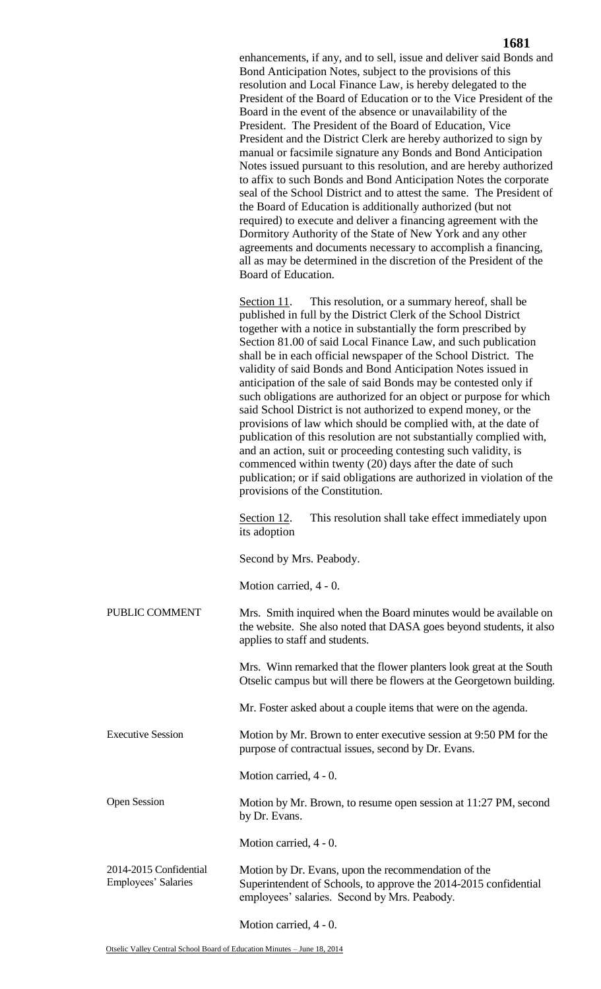|                                                      | 1681                                                                                                                                                                                                                                                                                                                                                                                                                                                                                                                                                                                                                                                                                                                                                                                                                                                                                                                                                                                                                                                                                                                     |
|------------------------------------------------------|--------------------------------------------------------------------------------------------------------------------------------------------------------------------------------------------------------------------------------------------------------------------------------------------------------------------------------------------------------------------------------------------------------------------------------------------------------------------------------------------------------------------------------------------------------------------------------------------------------------------------------------------------------------------------------------------------------------------------------------------------------------------------------------------------------------------------------------------------------------------------------------------------------------------------------------------------------------------------------------------------------------------------------------------------------------------------------------------------------------------------|
|                                                      | enhancements, if any, and to sell, issue and deliver said Bonds and<br>Bond Anticipation Notes, subject to the provisions of this<br>resolution and Local Finance Law, is hereby delegated to the<br>President of the Board of Education or to the Vice President of the<br>Board in the event of the absence or unavailability of the<br>President. The President of the Board of Education, Vice<br>President and the District Clerk are hereby authorized to sign by<br>manual or facsimile signature any Bonds and Bond Anticipation<br>Notes issued pursuant to this resolution, and are hereby authorized<br>to affix to such Bonds and Bond Anticipation Notes the corporate<br>seal of the School District and to attest the same. The President of<br>the Board of Education is additionally authorized (but not<br>required) to execute and deliver a financing agreement with the<br>Dormitory Authority of the State of New York and any other<br>agreements and documents necessary to accomplish a financing,<br>all as may be determined in the discretion of the President of the<br>Board of Education. |
|                                                      | This resolution, or a summary hereof, shall be<br>Section 11.<br>published in full by the District Clerk of the School District<br>together with a notice in substantially the form prescribed by<br>Section 81.00 of said Local Finance Law, and such publication<br>shall be in each official newspaper of the School District. The<br>validity of said Bonds and Bond Anticipation Notes issued in<br>anticipation of the sale of said Bonds may be contested only if<br>such obligations are authorized for an object or purpose for which<br>said School District is not authorized to expend money, or the<br>provisions of law which should be complied with, at the date of<br>publication of this resolution are not substantially complied with,<br>and an action, suit or proceeding contesting such validity, is<br>commenced within twenty (20) days after the date of such<br>publication; or if said obligations are authorized in violation of the<br>provisions of the Constitution.                                                                                                                    |
|                                                      | This resolution shall take effect immediately upon<br>Section 12.<br>its adoption                                                                                                                                                                                                                                                                                                                                                                                                                                                                                                                                                                                                                                                                                                                                                                                                                                                                                                                                                                                                                                        |
|                                                      | Second by Mrs. Peabody.                                                                                                                                                                                                                                                                                                                                                                                                                                                                                                                                                                                                                                                                                                                                                                                                                                                                                                                                                                                                                                                                                                  |
|                                                      | Motion carried, 4 - 0.                                                                                                                                                                                                                                                                                                                                                                                                                                                                                                                                                                                                                                                                                                                                                                                                                                                                                                                                                                                                                                                                                                   |
| PUBLIC COMMENT                                       | Mrs. Smith inquired when the Board minutes would be available on<br>the website. She also noted that DASA goes beyond students, it also<br>applies to staff and students.                                                                                                                                                                                                                                                                                                                                                                                                                                                                                                                                                                                                                                                                                                                                                                                                                                                                                                                                                |
|                                                      | Mrs. Winn remarked that the flower planters look great at the South<br>Otselic campus but will there be flowers at the Georgetown building.                                                                                                                                                                                                                                                                                                                                                                                                                                                                                                                                                                                                                                                                                                                                                                                                                                                                                                                                                                              |
|                                                      | Mr. Foster asked about a couple items that were on the agenda.                                                                                                                                                                                                                                                                                                                                                                                                                                                                                                                                                                                                                                                                                                                                                                                                                                                                                                                                                                                                                                                           |
| <b>Executive Session</b>                             | Motion by Mr. Brown to enter executive session at 9:50 PM for the<br>purpose of contractual issues, second by Dr. Evans.                                                                                                                                                                                                                                                                                                                                                                                                                                                                                                                                                                                                                                                                                                                                                                                                                                                                                                                                                                                                 |
|                                                      | Motion carried, 4 - 0.                                                                                                                                                                                                                                                                                                                                                                                                                                                                                                                                                                                                                                                                                                                                                                                                                                                                                                                                                                                                                                                                                                   |
| <b>Open Session</b>                                  | Motion by Mr. Brown, to resume open session at 11:27 PM, second<br>by Dr. Evans.                                                                                                                                                                                                                                                                                                                                                                                                                                                                                                                                                                                                                                                                                                                                                                                                                                                                                                                                                                                                                                         |
|                                                      | Motion carried, 4 - 0.                                                                                                                                                                                                                                                                                                                                                                                                                                                                                                                                                                                                                                                                                                                                                                                                                                                                                                                                                                                                                                                                                                   |
| 2014-2015 Confidential<br><b>Employees' Salaries</b> | Motion by Dr. Evans, upon the recommendation of the<br>Superintendent of Schools, to approve the 2014-2015 confidential<br>employees' salaries. Second by Mrs. Peabody.                                                                                                                                                                                                                                                                                                                                                                                                                                                                                                                                                                                                                                                                                                                                                                                                                                                                                                                                                  |

Motion carried, 4 - 0.

## **1681**